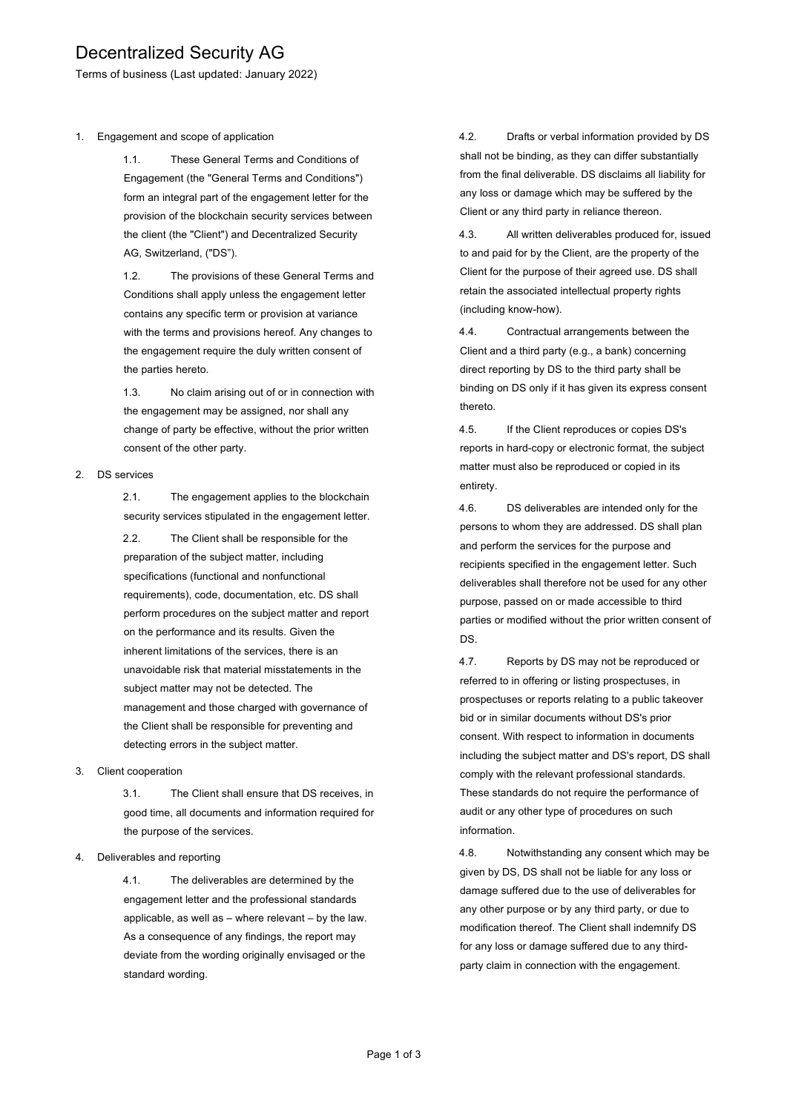# Decentralized Security AG

Terms of business (Last updated: January 2022)

1. Engagement and scope of application

1.1. These General Terms and Conditions of Engagement (the "General Terms and Conditions") form an integral part of the engagement letter for the provision of the blockchain security services between the client (the "Client") and Decentralized Security AG, Switzerland, ("DS").

1.2. The provisions of these General Terms and Conditions shall apply unless the engagement letter contains any specific term or provision at variance with the terms and provisions hereof. Any changes to the engagement require the duly written consent of the parties hereto.

1.3. No claim arising out of or in connection with the engagement may be assigned, nor shall any change of party be effective, without the prior written consent of the other party.

#### 2. DS services

2.1. The engagement applies to the blockchain security services stipulated in the engagement letter.

2.2. The Client shall be responsible for the preparation of the subject matter, including specifications (functional and nonfunctional requirements), code, documentation, etc. DS shall perform procedures on the subject matter and report on the performance and its results. Given the inherent limitations of the services, there is an unavoidable risk that material misstatements in the subject matter may not be detected. The management and those charged with governance of the Client shall be responsible for preventing and detecting errors in the subject matter.

#### 3. Client cooperation

3.1. The Client shall ensure that DS receives, in good time, all documents and information required for the purpose of the services.

### 4. Deliverables and reporting

4.1. The deliverables are determined by the engagement letter and the professional standards applicable, as well as – where relevant – by the law. As a consequence of any findings, the report may deviate from the wording originally envisaged or the standard wording.

4.2. Drafts or verbal information provided by DS shall not be binding, as they can differ substantially from the final deliverable. DS disclaims all liability for any loss or damage which may be suffered by the Client or any third party in reliance thereon.

4.3. All written deliverables produced for, issued to and paid for by the Client, are the property of the Client for the purpose of their agreed use. DS shall retain the associated intellectual property rights (including know-how).

4.4. Contractual arrangements between the Client and a third party (e.g., a bank) concerning direct reporting by DS to the third party shall be binding on DS only if it has given its express consent thereto.

4.5. If the Client reproduces or copies DS's reports in hard-copy or electronic format, the subject matter must also be reproduced or copied in its entirety.

4.6. DS deliverables are intended only for the persons to whom they are addressed. DS shall plan and perform the services for the purpose and recipients specified in the engagement letter. Such deliverables shall therefore not be used for any other purpose, passed on or made accessible to third parties or modified without the prior written consent of DS.

4.7. Reports by DS may not be reproduced or referred to in offering or listing prospectuses, in prospectuses or reports relating to a public takeover bid or in similar documents without DS's prior consent. With respect to information in documents including the subject matter and DS's report, DS shall comply with the relevant professional standards. These standards do not require the performance of audit or any other type of procedures on such information.

4.8. Notwithstanding any consent which may be given by DS, DS shall not be liable for any loss or damage suffered due to the use of deliverables for any other purpose or by any third party, or due to modification thereof. The Client shall indemnify DS for any loss or damage suffered due to any thirdparty claim in connection with the engagement.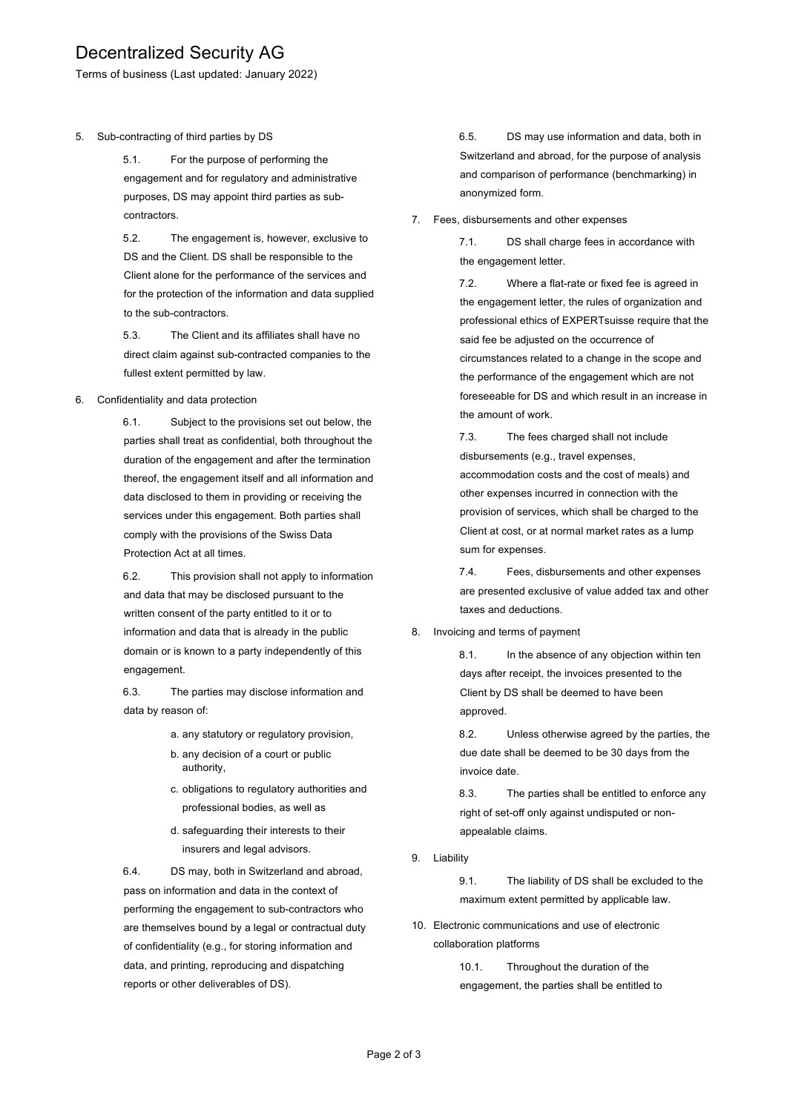# Decentralized Security AG

Terms of business (Last updated: January 2022)

5. Sub-contracting of third parties by DS

5.1. For the purpose of performing the engagement and for regulatory and administrative purposes, DS may appoint third parties as subcontractors.

5.2. The engagement is, however, exclusive to DS and the Client. DS shall be responsible to the Client alone for the performance of the services and for the protection of the information and data supplied to the sub-contractors.

5.3. The Client and its affiliates shall have no direct claim against sub-contracted companies to the fullest extent permitted by law.

6. Confidentiality and data protection

6.1. Subject to the provisions set out below, the parties shall treat as confidential, both throughout the duration of the engagement and after the termination thereof, the engagement itself and all information and data disclosed to them in providing or receiving the services under this engagement. Both parties shall comply with the provisions of the Swiss Data Protection Act at all times.

6.2. This provision shall not apply to information and data that may be disclosed pursuant to the written consent of the party entitled to it or to information and data that is already in the public domain or is known to a party independently of this engagement.

6.3. The parties may disclose information and data by reason of:

- a. any statutory or regulatory provision,
- b. any decision of a court or public authority,
- c. obligations to regulatory authorities and professional bodies, as well as
- d. safeguarding their interests to their insurers and legal advisors.

6.4. DS may, both in Switzerland and abroad, pass on information and data in the context of performing the engagement to sub-contractors who are themselves bound by a legal or contractual duty of confidentiality (e.g., for storing information and data, and printing, reproducing and dispatching reports or other deliverables of DS).

6.5. DS may use information and data, both in Switzerland and abroad, for the purpose of analysis and comparison of performance (benchmarking) in anonymized form.

7. Fees, disbursements and other expenses

7.1. DS shall charge fees in accordance with the engagement letter.

7.2. Where a flat-rate or fixed fee is agreed in the engagement letter, the rules of organization and professional ethics of EXPERTsuisse require that the said fee be adjusted on the occurrence of circumstances related to a change in the scope and the performance of the engagement which are not foreseeable for DS and which result in an increase in the amount of work.

7.3. The fees charged shall not include disbursements (e.g., travel expenses, accommodation costs and the cost of meals) and other expenses incurred in connection with the provision of services, which shall be charged to the Client at cost, or at normal market rates as a lump sum for expenses.

7.4. Fees, disbursements and other expenses are presented exclusive of value added tax and other taxes and deductions.

### 8. Invoicing and terms of payment

8.1. In the absence of any objection within ten days after receipt, the invoices presented to the Client by DS shall be deemed to have been approved.

8.2. Unless otherwise agreed by the parties, the due date shall be deemed to be 30 days from the invoice date.

8.3. The parties shall be entitled to enforce any right of set-off only against undisputed or nonappealable claims.

9. Liability

9.1. The liability of DS shall be excluded to the maximum extent permitted by applicable law.

10. Electronic communications and use of electronic collaboration platforms

> 10.1. Throughout the duration of the engagement, the parties shall be entitled to